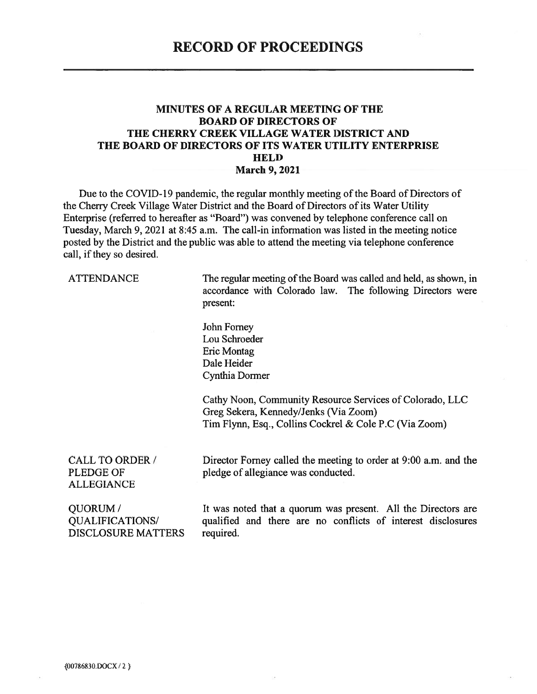#### **MINUTES OF A REGULAR MEETING OF THE BOARD OF DIRECTORS OF** THE CHERRY CREEK VILLAGE WATER DISTRICT AND THE BOARD OF DIRECTORS OF ITS WATER UTILITY ENTERPRISE **HELD March 9, 2021**

Due to the COVID-19 pandemic, the regular monthly meeting of the Board of Directors of the Cherry Creek Village Water District and the Board of Directors of its Water Utility Enterprise (referred to hereafter as "Board") was convened by telephone conference call on Tuesday, March 9, 2021 at 8:45 a.m. The call-in information was listed in the meeting notice posted by the District and the public was able to attend the meeting via telephone conference call, if they so desired.

**ATTENDANCE** 

The regular meeting of the Board was called and held, as shown, in accordance with Colorado law. The following Directors were present:

John Forney Lou Schroeder Eric Montag Dale Heider Cynthia Dormer

Cathy Noon, Community Resource Services of Colorado, LLC Greg Sekera, Kennedy/Jenks (Via Zoom) Tim Flynn, Esq., Collins Cockrel & Cole P.C (Via Zoom)

CALL TO ORDER / PLEDGE OF **ALLEGIANCE** 

Director Forney called the meeting to order at 9:00 a.m. and the pledge of allegiance was conducted.

**OUORUM**/ **QUALIFICATIONS/ DISCLOSURE MATTERS** 

It was noted that a quorum was present. All the Directors are qualified and there are no conflicts of interest disclosures required.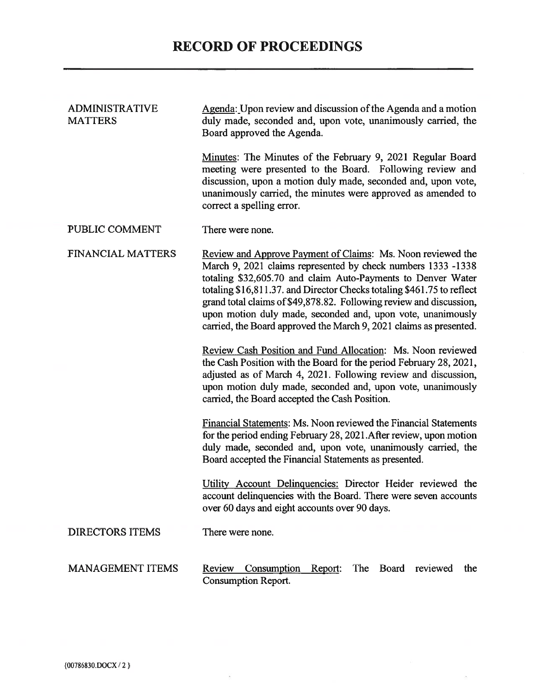## **RECORD OF PROCEEDINGS**

 $\sigma$ 

| <b>ADMINISTRATIVE</b><br><b>MATTERS</b> | Agenda: Upon review and discussion of the Agenda and a motion<br>duly made, seconded and, upon vote, unanimously carried, the<br>Board approved the Agenda.                                                                                                                                                                                                                                                                                                                               |
|-----------------------------------------|-------------------------------------------------------------------------------------------------------------------------------------------------------------------------------------------------------------------------------------------------------------------------------------------------------------------------------------------------------------------------------------------------------------------------------------------------------------------------------------------|
|                                         | Minutes: The Minutes of the February 9, 2021 Regular Board<br>meeting were presented to the Board. Following review and<br>discussion, upon a motion duly made, seconded and, upon vote,<br>unanimously carried, the minutes were approved as amended to<br>correct a spelling error.                                                                                                                                                                                                     |
| PUBLIC COMMENT                          | There were none.                                                                                                                                                                                                                                                                                                                                                                                                                                                                          |
| <b>FINANCIAL MATTERS</b>                | <u>Review and Approve Payment of Claims</u> : Ms. Noon reviewed the<br>March 9, 2021 claims represented by check numbers 1333 -1338<br>totaling \$32,605.70 and claim Auto-Payments to Denver Water<br>totaling \$16,811.37. and Director Checks totaling \$461.75 to reflect<br>grand total claims of \$49,878.82. Following review and discussion,<br>upon motion duly made, seconded and, upon vote, unanimously<br>carried, the Board approved the March 9, 2021 claims as presented. |
|                                         | Review Cash Position and Fund Allocation: Ms. Noon reviewed<br>the Cash Position with the Board for the period February 28, 2021,<br>adjusted as of March 4, 2021. Following review and discussion,<br>upon motion duly made, seconded and, upon vote, unanimously<br>carried, the Board accepted the Cash Position.                                                                                                                                                                      |
|                                         | Financial Statements: Ms. Noon reviewed the Financial Statements<br>for the period ending February 28, 2021. After review, upon motion<br>duly made, seconded and, upon vote, unanimously carried, the<br>Board accepted the Financial Statements as presented.                                                                                                                                                                                                                           |
|                                         | Utility Account Delinquencies: Director Heider reviewed the<br>account delinquencies with the Board. There were seven accounts<br>over 60 days and eight accounts over 90 days.                                                                                                                                                                                                                                                                                                           |
| <b>DIRECTORS ITEMS</b>                  | There were none.                                                                                                                                                                                                                                                                                                                                                                                                                                                                          |
| <b>MANAGEMENT ITEMS</b>                 | reviewed<br>Review<br>Consumption<br>Report:<br>The<br><b>Board</b><br>the<br><b>Consumption Report.</b>                                                                                                                                                                                                                                                                                                                                                                                  |

 $\omega$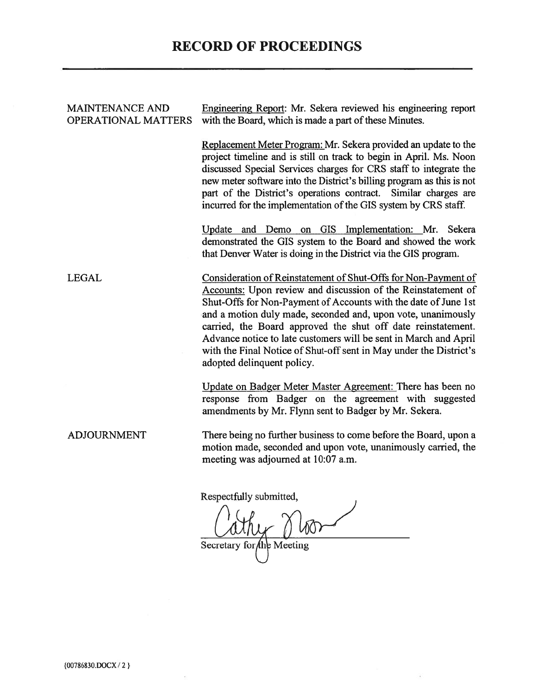## **RECORD OF PROCEEDINGS**

| <b>MAINTENANCE AND</b><br><b>OPERATIONAL MATTERS</b> | Engineering Report: Mr. Sekera reviewed his engineering report<br>with the Board, which is made a part of these Minutes.                                                                                                                                                                                                                                                                                                                                                                                  |
|------------------------------------------------------|-----------------------------------------------------------------------------------------------------------------------------------------------------------------------------------------------------------------------------------------------------------------------------------------------------------------------------------------------------------------------------------------------------------------------------------------------------------------------------------------------------------|
|                                                      | Replacement Meter Program: Mr. Sekera provided an update to the<br>project timeline and is still on track to begin in April. Ms. Noon<br>discussed Special Services charges for CRS staff to integrate the<br>new meter software into the District's billing program as this is not<br>part of the District's operations contract. Similar charges are<br>incurred for the implementation of the GIS system by CRS staff.                                                                                 |
|                                                      | Update and Demo on GIS Implementation: Mr. Sekera<br>demonstrated the GIS system to the Board and showed the work<br>that Denver Water is doing in the District via the GIS program.                                                                                                                                                                                                                                                                                                                      |
| LEGAL                                                | Consideration of Reinstatement of Shut-Offs for Non-Payment of<br>Accounts: Upon review and discussion of the Reinstatement of<br>Shut-Offs for Non-Payment of Accounts with the date of June 1st<br>and a motion duly made, seconded and, upon vote, unanimously<br>carried, the Board approved the shut off date reinstatement.<br>Advance notice to late customers will be sent in March and April<br>with the Final Notice of Shut-off sent in May under the District's<br>adopted delinquent policy. |
|                                                      | Update on Badger Meter Master Agreement: There has been no<br>response from Badger on the agreement with suggested<br>amendments by Mr. Flynn sent to Badger by Mr. Sekera.                                                                                                                                                                                                                                                                                                                               |
| <b>ADJOURNMENT</b>                                   | There being no further business to come before the Board, upon a<br>motion made, seconded and upon vote, unanimously carried, the<br>meeting was adjourned at 10:07 a.m.                                                                                                                                                                                                                                                                                                                                  |
|                                                      | Respectfully submitted,                                                                                                                                                                                                                                                                                                                                                                                                                                                                                   |

Cathy Mor

 $\langle \bullet \rangle$ 

{00786830.DOCX/2}

 $\tau$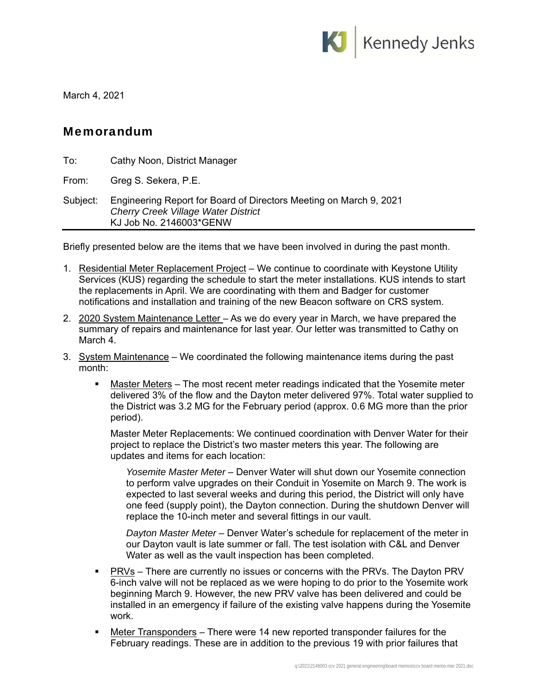

March 4, 2021

#### Memorandum

| To:      | Cathy Noon, District Manager                                                                                                                |
|----------|---------------------------------------------------------------------------------------------------------------------------------------------|
| From:    | Greg S. Sekera, P.E.                                                                                                                        |
| Subject: | Engineering Report for Board of Directors Meeting on March 9, 2021<br><b>Cherry Creek Village Water District</b><br>KJ Job No. 2146003*GENW |

Briefly presented below are the items that we have been involved in during the past month.

- 1. Residential Meter Replacement Project We continue to coordinate with Keystone Utility Services (KUS) regarding the schedule to start the meter installations. KUS intends to start the replacements in April. We are coordinating with them and Badger for customer notifications and installation and training of the new Beacon software on CRS system.
- 2. 2020 System Maintenance Letter As we do every year in March, we have prepared the summary of repairs and maintenance for last year. Our letter was transmitted to Cathy on March 4.
- 3. System Maintenance We coordinated the following maintenance items during the past month:
	- Master Meters The most recent meter readings indicated that the Yosemite meter delivered 3% of the flow and the Dayton meter delivered 97%. Total water supplied to the District was 3.2 MG for the February period (approx. 0.6 MG more than the prior period).

Master Meter Replacements: We continued coordination with Denver Water for their project to replace the District's two master meters this year. The following are updates and items for each location:

*Yosemite Master Meter* – Denver Water will shut down our Yosemite connection to perform valve upgrades on their Conduit in Yosemite on March 9. The work is expected to last several weeks and during this period, the District will only have one feed (supply point), the Dayton connection. During the shutdown Denver will replace the 10-inch meter and several fittings in our vault.

*Dayton Master Meter* – Denver Water's schedule for replacement of the meter in our Dayton vault is late summer or fall. The test isolation with C&L and Denver Water as well as the vault inspection has been completed.

- PRVs There are currently no issues or concerns with the PRVs. The Dayton PRV 6-inch valve will not be replaced as we were hoping to do prior to the Yosemite work beginning March 9. However, the new PRV valve has been delivered and could be installed in an emergency if failure of the existing valve happens during the Yosemite work.
- Meter Transponders There were 14 new reported transponder failures for the February readings. These are in addition to the previous 19 with prior failures that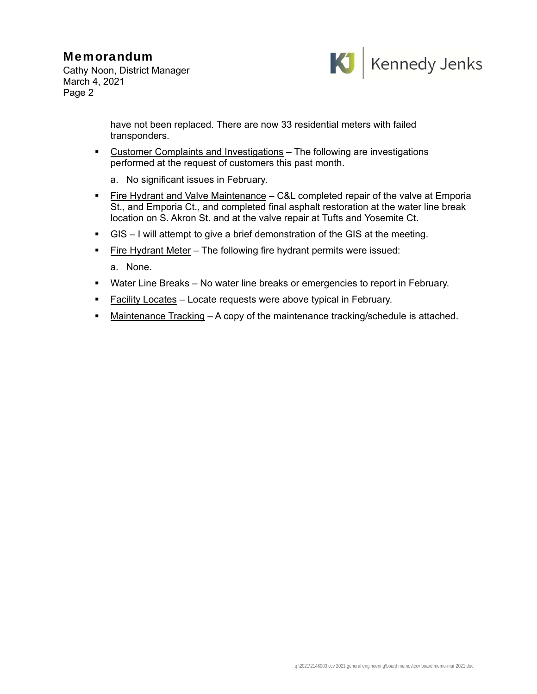### Memorandum

Cathy Noon, District Manager March 4, 2021 Page 2



have not been replaced. There are now 33 residential meters with failed transponders.

- Customer Complaints and Investigations The following are investigations performed at the request of customers this past month.
	- a. No significant issues in February.
- Fire Hydrant and Valve Maintenance C&L completed repair of the valve at Emporia St., and Emporia Ct., and completed final asphalt restoration at the water line break location on S. Akron St. and at the valve repair at Tufts and Yosemite Ct.
- $\blacksquare$  GIS I will attempt to give a brief demonstration of the GIS at the meeting.
- Fire Hydrant Meter The following fire hydrant permits were issued: a. None.
- **Water Line Breaks** No water line breaks or emergencies to report in February.
- Facility Locates Locate requests were above typical in February.
- Maintenance Tracking A copy of the maintenance tracking/schedule is attached.